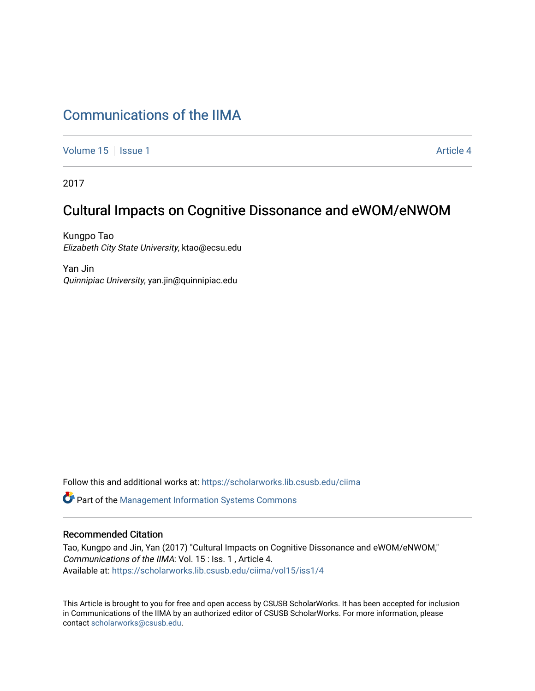# [Communications of the IIMA](https://scholarworks.lib.csusb.edu/ciima)

[Volume 15](https://scholarworks.lib.csusb.edu/ciima/vol15) | [Issue 1](https://scholarworks.lib.csusb.edu/ciima/vol15/iss1) Article 4

2017

# Cultural Impacts on Cognitive Dissonance and eWOM/eNWOM

Kungpo Tao Elizabeth City State University, ktao@ecsu.edu

Yan Jin Quinnipiac University, yan.jin@quinnipiac.edu

Follow this and additional works at: [https://scholarworks.lib.csusb.edu/ciima](https://scholarworks.lib.csusb.edu/ciima?utm_source=scholarworks.lib.csusb.edu%2Fciima%2Fvol15%2Fiss1%2F4&utm_medium=PDF&utm_campaign=PDFCoverPages) 

Part of the [Management Information Systems Commons](http://network.bepress.com/hgg/discipline/636?utm_source=scholarworks.lib.csusb.edu%2Fciima%2Fvol15%2Fiss1%2F4&utm_medium=PDF&utm_campaign=PDFCoverPages) 

#### Recommended Citation

Tao, Kungpo and Jin, Yan (2017) "Cultural Impacts on Cognitive Dissonance and eWOM/eNWOM," Communications of the IIMA: Vol. 15 : Iss. 1 , Article 4. Available at: [https://scholarworks.lib.csusb.edu/ciima/vol15/iss1/4](https://scholarworks.lib.csusb.edu/ciima/vol15/iss1/4?utm_source=scholarworks.lib.csusb.edu%2Fciima%2Fvol15%2Fiss1%2F4&utm_medium=PDF&utm_campaign=PDFCoverPages) 

This Article is brought to you for free and open access by CSUSB ScholarWorks. It has been accepted for inclusion in Communications of the IIMA by an authorized editor of CSUSB ScholarWorks. For more information, please contact [scholarworks@csusb.edu.](mailto:scholarworks@csusb.edu)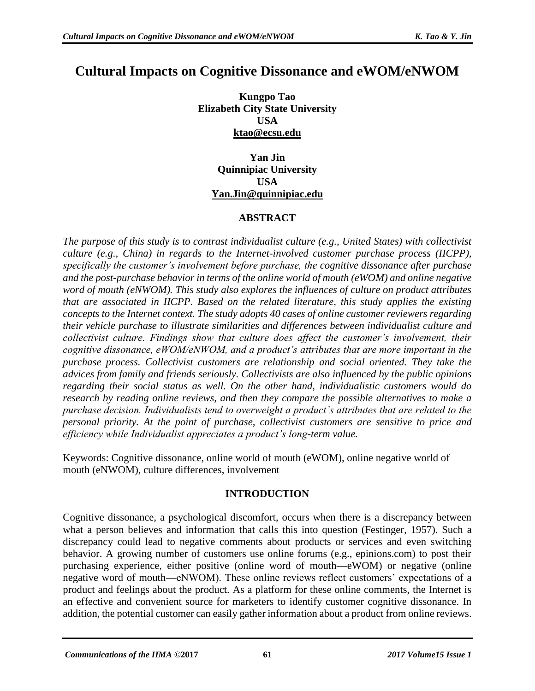# **Cultural Impacts on Cognitive Dissonance and eWOM/eNWOM**

**Kungpo Tao Elizabeth City State University USA [ktao@ecsu.edu](mailto:ktao@ecsu.edu)**

> **Yan Jin Quinnipiac University USA [Yan.Jin@quinnipiac.edu](mailto:Yan.Jin@quinnipiac.edu)**

## **ABSTRACT**

*The purpose of this study is to contrast individualist culture (e.g., United States) with collectivist culture (e.g., China) in regards to the Internet-involved customer purchase process (IICPP), specifically the customer's involvement before purchase, the cognitive dissonance after purchase and the post-purchase behavior in terms of the online world of mouth (eWOM) and online negative word of mouth (eNWOM). This study also explores the influences of culture on product attributes that are associated in IICPP. Based on the related literature, this study applies the existing concepts to the Internet context. The study adopts 40 cases of online customer reviewers regarding their vehicle purchase to illustrate similarities and differences between individualist culture and collectivist culture. Findings show that culture does affect the customer's involvement, their cognitive dissonance, eWOM/eNWOM, and a product's attributes that are more important in the purchase process. Collectivist customers are relationship and social oriented. They take the advices from family and friends seriously. Collectivists are also influenced by the public opinions regarding their social status as well. On the other hand, individualistic customers would do research by reading online reviews, and then they compare the possible alternatives to make a purchase decision. Individualists tend to overweight a product's attributes that are related to the personal priority. At the point of purchase, collectivist customers are sensitive to price and efficiency while Individualist appreciates a product's long-term value.* 

Keywords: Cognitive dissonance, online world of mouth (eWOM), online negative world of mouth (eNWOM), culture differences, involvement

## **INTRODUCTION**

Cognitive dissonance, a psychological discomfort, occurs when there is a discrepancy between what a person believes and information that calls this into question (Festinger, 1957). Such a discrepancy could lead to negative comments about products or services and even switching behavior. A growing number of customers use online forums (e.g., epinions.com) to post their purchasing experience, either positive (online word of mouth—eWOM) or negative (online negative word of mouth—eNWOM). These online reviews reflect customers' expectations of a product and feelings about the product. As a platform for these online comments, the Internet is an effective and convenient source for marketers to identify customer cognitive dissonance. In addition, the potential customer can easily gather information about a product from online reviews.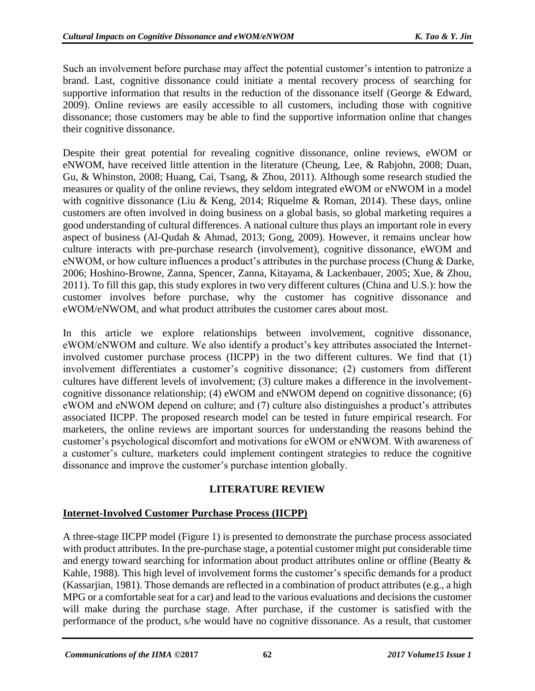Such an involvement before purchase may affect the potential customer's intention to patronize a brand. Last, cognitive dissonance could initiate a mental recovery process of searching for supportive information that results in the reduction of the dissonance itself (George & Edward, 2009). Online reviews are easily accessible to all customers, including those with cognitive dissonance; those customers may be able to find the supportive information online that changes their cognitive dissonance.

Despite their great potential for revealing cognitive dissonance, online reviews, eWOM or eNWOM, have received little attention in the literature (Cheung, Lee, & Rabjohn, 2008; Duan, Gu, & Whinston, 2008; Huang, Cai, Tsang, & Zhou, 2011). Although some research studied the measures or quality of the online reviews, they seldom integrated eWOM or eNWOM in a model with cognitive dissonance (Liu & Keng, 2014; Riquelme & Roman, 2014). These days, online customers are often involved in doing business on a global basis, so global marketing requires a good understanding of cultural differences. A national culture thus plays an important role in every aspect of business (Al-Qudah & Ahmad, 2013; Gong, 2009). However, it remains unclear how culture interacts with pre-purchase research (involvement), cognitive dissonance, eWOM and eNWOM, or how culture influences a product's attributes in the purchase process (Chung & Darke, 2006; Hoshino-Browne, Zanna, Spencer, Zanna, Kitayama, & Lackenbauer, 2005; Xue, & Zhou, 2011). To fill this gap, this study explores in two very different cultures (China and U.S.): how the customer involves before purchase, why the customer has cognitive dissonance and eWOM/eNWOM, and what product attributes the customer cares about most.

In this article we explore relationships between involvement, cognitive dissonance, eWOM/eNWOM and culture. We also identify a product's key attributes associated the Internetinvolved customer purchase process (IICPP) in the two different cultures. We find that (1) involvement differentiates a customer's cognitive dissonance; (2) customers from different cultures have different levels of involvement; (3) culture makes a difference in the involvementcognitive dissonance relationship; (4) eWOM and eNWOM depend on cognitive dissonance; (6) eWOM and eNWOM depend on culture; and (7) culture also distinguishes a product's attributes associated IICPP. The proposed research model can be tested in future empirical research. For marketers, the online reviews are important sources for understanding the reasons behind the customer's psychological discomfort and motivations for eWOM or eNWOM. With awareness of a customer's culture, marketers could implement contingent strategies to reduce the cognitive dissonance and improve the customer's purchase intention globally.

## **LITERATURE REVIEW**

## **Internet-Involved Customer Purchase Process (IICPP)**

A three-stage IICPP model (Figure 1) is presented to demonstrate the purchase process associated with product attributes. In the pre-purchase stage, a potential customer might put considerable time and energy toward searching for information about product attributes online or offline (Beatty & Kahle, 1988). This high level of involvement forms the customer's specific demands for a product (Kassarjian, 1981). Those demands are reflected in a combination of product attributes (e.g., a high MPG or a comfortable seat for a car) and lead to the various evaluations and decisions the customer will make during the purchase stage. After purchase, if the customer is satisfied with the performance of the product, s/he would have no cognitive dissonance. As a result, that customer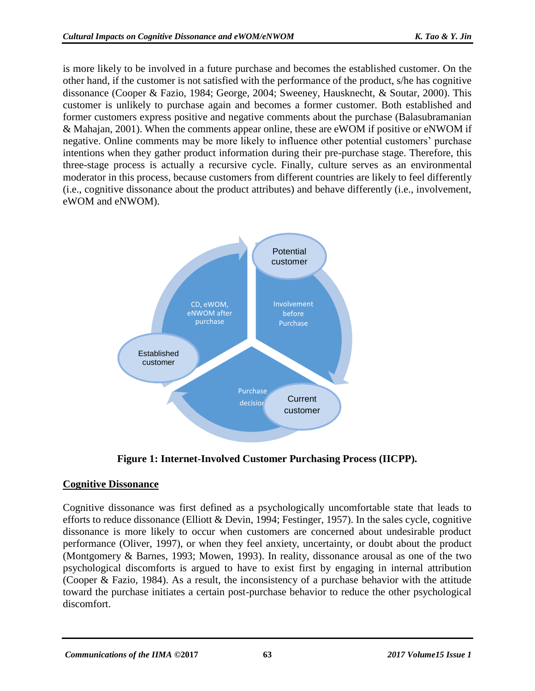is more likely to be involved in a future purchase and becomes the established customer. On the other hand, if the customer is not satisfied with the performance of the product, s/he has cognitive dissonance (Cooper & Fazio, 1984; George, 2004; Sweeney, Hausknecht, & Soutar, 2000). This customer is unlikely to purchase again and becomes a former customer. Both established and former customers express positive and negative comments about the purchase (Balasubramanian & Mahajan, 2001). When the comments appear online, these are eWOM if positive or eNWOM if negative. Online comments may be more likely to influence other potential customers' purchase intentions when they gather product information during their pre-purchase stage. Therefore, this three-stage process is actually a recursive cycle. Finally, culture serves as an environmental moderator in this process, because customers from different countries are likely to feel differently (i.e., cognitive dissonance about the product attributes) and behave differently (i.e., involvement, eWOM and eNWOM).



**Figure 1: Internet-Involved Customer Purchasing Process (IICPP).**

# **Cognitive Dissonance**

Cognitive dissonance was first defined as a psychologically uncomfortable state that leads to efforts to reduce dissonance (Elliott & Devin, 1994; Festinger, 1957). In the sales cycle, cognitive dissonance is more likely to occur when customers are concerned about undesirable product performance (Oliver, 1997), or when they feel anxiety, uncertainty, or doubt about the product (Montgomery & Barnes, 1993; Mowen, 1993). In reality, dissonance arousal as one of the two psychological discomforts is argued to have to exist first by engaging in internal attribution (Cooper & Fazio, 1984). As a result, the inconsistency of a purchase behavior with the attitude toward the purchase initiates a certain post-purchase behavior to reduce the other psychological discomfort.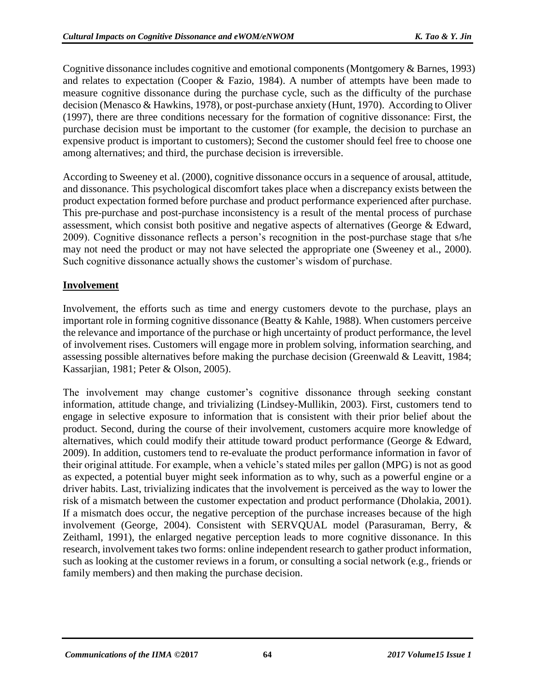Cognitive dissonance includes cognitive and emotional components (Montgomery & Barnes, 1993) and relates to expectation (Cooper & Fazio, 1984). A number of attempts have been made to measure cognitive dissonance during the purchase cycle, such as the difficulty of the purchase decision (Menasco & Hawkins, 1978), or post-purchase anxiety (Hunt, 1970). According to Oliver (1997), there are three conditions necessary for the formation of cognitive dissonance: First, the purchase decision must be important to the customer (for example, the decision to purchase an expensive product is important to customers); Second the customer should feel free to choose one among alternatives; and third, the purchase decision is irreversible.

According to Sweeney et al. (2000), cognitive dissonance occurs in a sequence of arousal, attitude, and dissonance. This psychological discomfort takes place when a discrepancy exists between the product expectation formed before purchase and product performance experienced after purchase. This pre-purchase and post-purchase inconsistency is a result of the mental process of purchase assessment, which consist both positive and negative aspects of alternatives (George & Edward, 2009). Cognitive dissonance reflects a person's recognition in the post-purchase stage that s/he may not need the product or may not have selected the appropriate one (Sweeney et al., 2000). Such cognitive dissonance actually shows the customer's wisdom of purchase.

### **Involvement**

Involvement, the efforts such as time and energy customers devote to the purchase, plays an important role in forming cognitive dissonance (Beatty & Kahle, 1988). When customers perceive the relevance and importance of the purchase or high uncertainty of product performance, the level of involvement rises. Customers will engage more in problem solving, information searching, and assessing possible alternatives before making the purchase decision (Greenwald & Leavitt, 1984; Kassarjian, 1981; Peter & Olson, 2005).

The involvement may change customer's cognitive dissonance through seeking constant information, attitude change, and trivializing (Lindsey-Mullikin, 2003). First, customers tend to engage in selective exposure to information that is consistent with their prior belief about the product. Second, during the course of their involvement, customers acquire more knowledge of alternatives, which could modify their attitude toward product performance (George & Edward, 2009). In addition, customers tend to re-evaluate the product performance information in favor of their original attitude. For example, when a vehicle's stated miles per gallon (MPG) is not as good as expected, a potential buyer might seek information as to why, such as a powerful engine or a driver habits. Last, trivializing indicates that the involvement is perceived as the way to lower the risk of a mismatch between the customer expectation and product performance (Dholakia, 2001). If a mismatch does occur, the negative perception of the purchase increases because of the high involvement (George, 2004). Consistent with SERVQUAL model (Parasuraman, Berry, & Zeithaml, 1991), the enlarged negative perception leads to more cognitive dissonance. In this research, involvement takes two forms: online independent research to gather product information, such as looking at the customer reviews in a forum, or consulting a social network (e.g., friends or family members) and then making the purchase decision.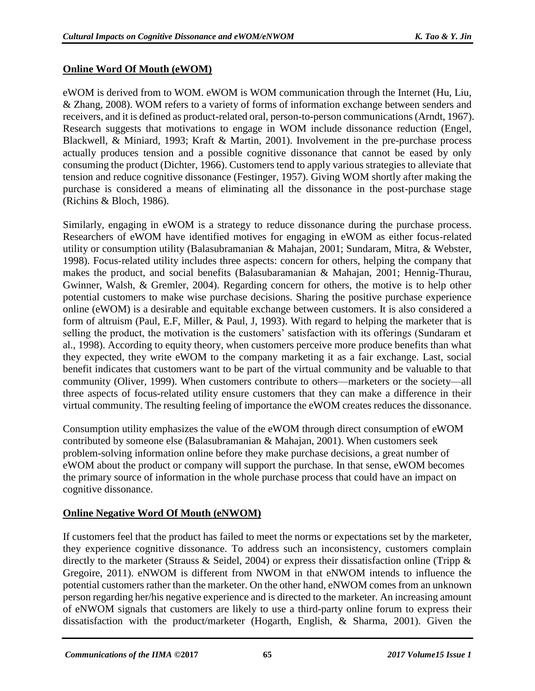#### **Online Word Of Mouth (eWOM)**

eWOM is derived from to WOM. eWOM is WOM communication through the Internet (Hu, Liu, & Zhang, 2008). WOM refers to a variety of forms of information exchange between senders and receivers, and it is defined as product-related oral, person-to-person communications (Arndt, 1967). Research suggests that motivations to engage in WOM include dissonance reduction (Engel, Blackwell, & Miniard, 1993; Kraft & Martin, 2001). Involvement in the pre-purchase process actually produces tension and a possible cognitive dissonance that cannot be eased by only consuming the product (Dichter, 1966). Customers tend to apply various strategies to alleviate that tension and reduce cognitive dissonance (Festinger, 1957). Giving WOM shortly after making the purchase is considered a means of eliminating all the dissonance in the post-purchase stage (Richins & Bloch, 1986).

Similarly, engaging in eWOM is a strategy to reduce dissonance during the purchase process. Researchers of eWOM have identified motives for engaging in eWOM as either focus-related utility or consumption utility (Balasubramanian & Mahajan, 2001; Sundaram, Mitra, & Webster, 1998). Focus-related utility includes three aspects: concern for others, helping the company that makes the product, and social benefits (Balasubaramanian & Mahajan, 2001; Hennig-Thurau, Gwinner, Walsh, & Gremler, 2004). Regarding concern for others, the motive is to help other potential customers to make wise purchase decisions. Sharing the positive purchase experience online (eWOM) is a desirable and equitable exchange between customers. It is also considered a form of altruism (Paul, E.F, Miller, & Paul, J, 1993). With regard to helping the marketer that is selling the product, the motivation is the customers' satisfaction with its offerings (Sundaram et al., 1998). According to equity theory, when customers perceive more produce benefits than what they expected, they write eWOM to the company marketing it as a fair exchange. Last, social benefit indicates that customers want to be part of the virtual community and be valuable to that community (Oliver, 1999). When customers contribute to others—marketers or the society—all three aspects of focus-related utility ensure customers that they can make a difference in their virtual community. The resulting feeling of importance the eWOM creates reduces the dissonance.

Consumption utility emphasizes the value of the eWOM through direct consumption of eWOM contributed by someone else (Balasubramanian & Mahajan, 2001). When customers seek problem-solving information online before they make purchase decisions, a great number of eWOM about the product or company will support the purchase. In that sense, eWOM becomes the primary source of information in the whole purchase process that could have an impact on cognitive dissonance.

#### **Online Negative Word Of Mouth (eNWOM)**

If customers feel that the product has failed to meet the norms or expectations set by the marketer, they experience cognitive dissonance. To address such an inconsistency, customers complain directly to the marketer (Strauss & Seidel, 2004) or express their dissatisfaction online (Tripp & Gregoire, 2011). eNWOM is different from NWOM in that eNWOM intends to influence the potential customers rather than the marketer. On the other hand, eNWOM comes from an unknown person regarding her/his negative experience and is directed to the marketer. An increasing amount of eNWOM signals that customers are likely to use a third-party online forum to express their dissatisfaction with the product/marketer (Hogarth, English, & Sharma, 2001). Given the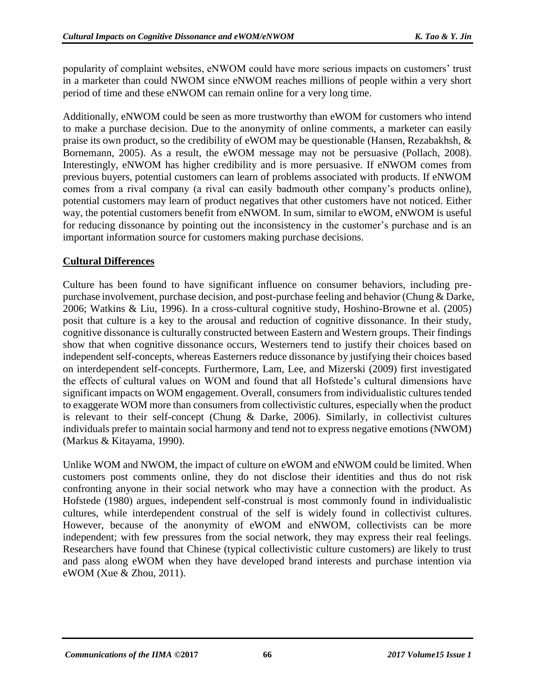popularity of complaint websites, eNWOM could have more serious impacts on customers' trust in a marketer than could NWOM since eNWOM reaches millions of people within a very short period of time and these eNWOM can remain online for a very long time.

Additionally, eNWOM could be seen as more trustworthy than eWOM for customers who intend to make a purchase decision. Due to the anonymity of online comments, a marketer can easily praise its own product, so the credibility of eWOM may be questionable (Hansen, Rezabakhsh, & Bornemann, 2005). As a result, the eWOM message may not be persuasive (Pollach, 2008). Interestingly, eNWOM has higher credibility and is more persuasive. If eNWOM comes from previous buyers, potential customers can learn of problems associated with products. If eNWOM comes from a rival company (a rival can easily badmouth other company's products online), potential customers may learn of product negatives that other customers have not noticed. Either way, the potential customers benefit from eNWOM. In sum, similar to eWOM, eNWOM is useful for reducing dissonance by pointing out the inconsistency in the customer's purchase and is an important information source for customers making purchase decisions.

# **Cultural Differences**

Culture has been found to have significant influence on consumer behaviors, including prepurchase involvement, purchase decision, and post-purchase feeling and behavior (Chung & Darke, 2006; Watkins & Liu, 1996). In a cross-cultural cognitive study, Hoshino-Browne et al. (2005) posit that culture is a key to the arousal and reduction of cognitive dissonance. In their study, cognitive dissonance is culturally constructed between Eastern and Western groups. Their findings show that when cognitive dissonance occurs, Westerners tend to justify their choices based on independent self-concepts, whereas Easterners reduce dissonance by justifying their choices based on interdependent self-concepts. Furthermore, Lam, Lee, and Mizerski (2009) first investigated the effects of cultural values on WOM and found that all Hofstede's cultural dimensions have significant impacts on WOM engagement. Overall, consumers from individualistic cultures tended to exaggerate WOM more than consumers from collectivistic cultures, especially when the product is relevant to their self-concept (Chung & Darke, 2006). Similarly, in collectivist cultures individuals prefer to maintain social harmony and tend not to express negative emotions (NWOM) (Markus & Kitayama, 1990).

Unlike WOM and NWOM, the impact of culture on eWOM and eNWOM could be limited. When customers post comments online, they do not disclose their identities and thus do not risk confronting anyone in their social network who may have a connection with the product. As Hofstede (1980) argues, independent self-construal is most commonly found in individualistic cultures, while interdependent construal of the self is widely found in collectivist cultures. However, because of the anonymity of eWOM and eNWOM, collectivists can be more independent; with few pressures from the social network, they may express their real feelings. Researchers have found that Chinese (typical collectivistic culture customers) are likely to trust and pass along eWOM when they have developed brand interests and purchase intention via eWOM (Xue & Zhou, 2011).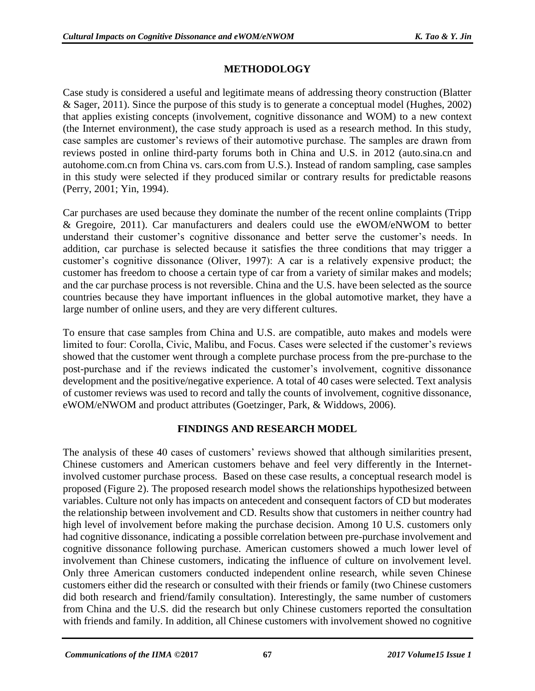# **METHODOLOGY**

Case study is considered a useful and legitimate means of addressing theory construction (Blatter & Sager, 2011). Since the purpose of this study is to generate a conceptual model (Hughes, 2002) that applies existing concepts (involvement, cognitive dissonance and WOM) to a new context (the Internet environment), the case study approach is used as a research method. In this study, case samples are customer's reviews of their automotive purchase. The samples are drawn from reviews posted in online third-party forums both in China and U.S. in 2012 (auto.sina.cn and autohome.com.cn from China vs. cars.com from U.S.). Instead of random sampling, case samples in this study were selected if they produced similar or contrary results for predictable reasons (Perry, 2001; Yin, 1994).

Car purchases are used because they dominate the number of the recent online complaints (Tripp & Gregoire, 2011). Car manufacturers and dealers could use the eWOM/eNWOM to better understand their customer's cognitive dissonance and better serve the customer's needs. In addition, car purchase is selected because it satisfies the three conditions that may trigger a customer's cognitive dissonance (Oliver, 1997): A car is a relatively expensive product; the customer has freedom to choose a certain type of car from a variety of similar makes and models; and the car purchase process is not reversible. China and the U.S. have been selected as the source countries because they have important influences in the global automotive market, they have a large number of online users, and they are very different cultures.

To ensure that case samples from China and U.S. are compatible, auto makes and models were limited to four: Corolla, Civic, Malibu, and Focus. Cases were selected if the customer's reviews showed that the customer went through a complete purchase process from the pre-purchase to the post-purchase and if the reviews indicated the customer's involvement, cognitive dissonance development and the positive/negative experience. A total of 40 cases were selected. Text analysis of customer reviews was used to record and tally the counts of involvement, cognitive dissonance, eWOM/eNWOM and product attributes (Goetzinger, Park, & Widdows, 2006).

# **FINDINGS AND RESEARCH MODEL**

The analysis of these 40 cases of customers' reviews showed that although similarities present, Chinese customers and American customers behave and feel very differently in the Internetinvolved customer purchase process. Based on these case results, a conceptual research model is proposed (Figure 2). The proposed research model shows the relationships hypothesized between variables. Culture not only has impacts on antecedent and consequent factors of CD but moderates the relationship between involvement and CD. Results show that customers in neither country had high level of involvement before making the purchase decision. Among 10 U.S. customers only had cognitive dissonance, indicating a possible correlation between pre-purchase involvement and cognitive dissonance following purchase. American customers showed a much lower level of involvement than Chinese customers, indicating the influence of culture on involvement level. Only three American customers conducted independent online research, while seven Chinese customers either did the research or consulted with their friends or family (two Chinese customers did both research and friend/family consultation). Interestingly, the same number of customers from China and the U.S. did the research but only Chinese customers reported the consultation with friends and family. In addition, all Chinese customers with involvement showed no cognitive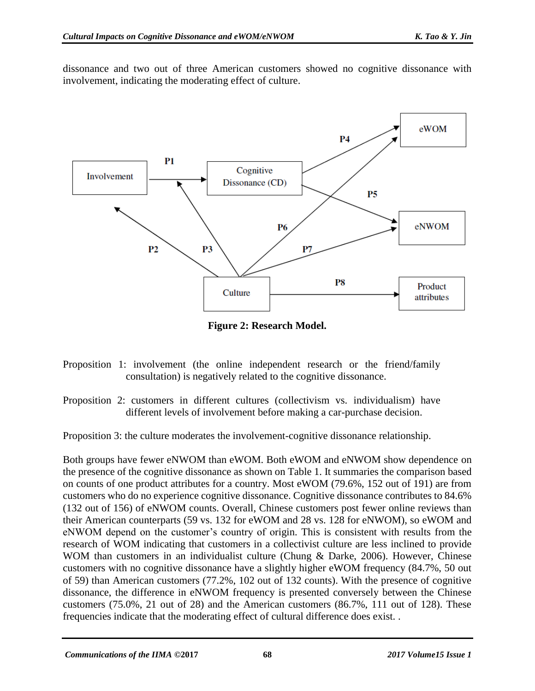dissonance and two out of three American customers showed no cognitive dissonance with involvement, indicating the moderating effect of culture.



**Figure 2: Research Model.**

- Proposition 1: involvement (the online independent research or the friend/family consultation) is negatively related to the cognitive dissonance.
- Proposition 2: customers in different cultures (collectivism vs. individualism) have different levels of involvement before making a car-purchase decision.

Proposition 3: the culture moderates the involvement-cognitive dissonance relationship.

Both groups have fewer eNWOM than eWOM. Both eWOM and eNWOM show dependence on the presence of the cognitive dissonance as shown on Table 1. It summaries the comparison based on counts of one product attributes for a country. Most eWOM (79.6%, 152 out of 191) are from customers who do no experience cognitive dissonance. Cognitive dissonance contributes to 84.6% (132 out of 156) of eNWOM counts. Overall, Chinese customers post fewer online reviews than their American counterparts (59 vs. 132 for eWOM and 28 vs. 128 for eNWOM), so eWOM and eNWOM depend on the customer's country of origin. This is consistent with results from the research of WOM indicating that customers in a collectivist culture are less inclined to provide WOM than customers in an individualist culture (Chung & Darke, 2006). However, Chinese customers with no cognitive dissonance have a slightly higher eWOM frequency (84.7%, 50 out of 59) than American customers (77.2%, 102 out of 132 counts). With the presence of cognitive dissonance, the difference in eNWOM frequency is presented conversely between the Chinese customers (75.0%, 21 out of 28) and the American customers (86.7%, 111 out of 128). These frequencies indicate that the moderating effect of cultural difference does exist. .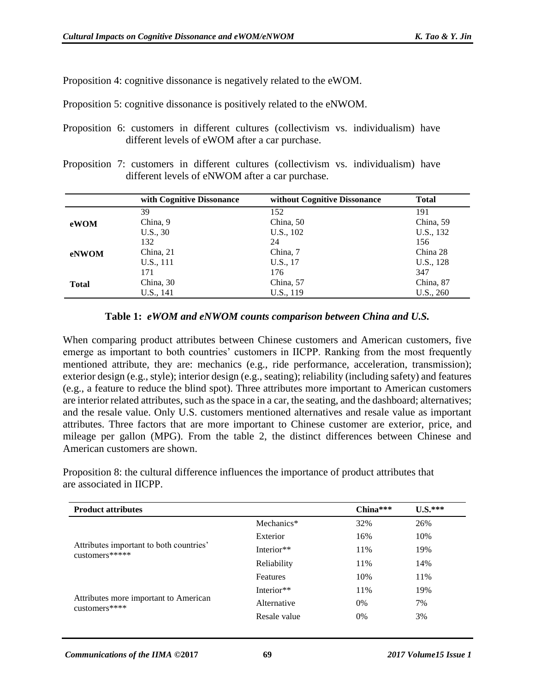Proposition 4: cognitive dissonance is negatively related to the eWOM.

Proposition 5: cognitive dissonance is positively related to the eNWOM.

- Proposition 6: customers in different cultures (collectivism vs. individualism) have different levels of eWOM after a car purchase.
- Proposition 7: customers in different cultures (collectivism vs. individualism) have different levels of eNWOM after a car purchase.

|              | with Cognitive Dissonance | without Cognitive Dissonance | <b>Total</b> |
|--------------|---------------------------|------------------------------|--------------|
|              | 39                        | 152                          | 191          |
| eWOM         | China, 9                  | China, 50                    | China, 59    |
|              | U.S., 30                  | U.S., 102                    | U.S., 132    |
| eNWOM        | 132                       | 24                           | 156          |
|              | China, 21                 | China, 7                     | China 28     |
|              | U.S., 111                 | U.S., 17                     | U.S., 128    |
| <b>Total</b> | 171                       | 176                          | 347          |
|              | China, 30                 | China, 57                    | China, 87    |
|              | U.S., 141                 | U.S., 119                    | U.S., 260    |

#### **Table 1:** *eWOM and eNWOM counts comparison between China and U.S.*

When comparing product attributes between Chinese customers and American customers, five emerge as important to both countries' customers in IICPP. Ranking from the most frequently mentioned attribute, they are: mechanics (e.g., ride performance, acceleration, transmission); exterior design (e.g., style); interior design (e.g., seating); reliability (including safety) and features (e.g., a feature to reduce the blind spot). Three attributes more important to American customers are interior related attributes, such as the space in a car, the seating, and the dashboard; alternatives; and the resale value. Only U.S. customers mentioned alternatives and resale value as important attributes. Three factors that are more important to Chinese customer are exterior, price, and mileage per gallon (MPG). From the table 2, the distinct differences between Chinese and American customers are shown.

Proposition 8: the cultural difference influences the importance of product attributes that are associated in IICPP.

| <b>Product attributes</b>                                 |              | $China***$ | $U.S.***$ |
|-----------------------------------------------------------|--------------|------------|-----------|
| Attributes important to both countries'<br>customers***** | Mechanics*   | 32%        | 26%       |
|                                                           | Exterior     | 16%        | 10%       |
|                                                           | Interior**   | 11%        | 19%       |
|                                                           | Reliability  | 11%        | 14%       |
|                                                           | Features     | 10%        | 11%       |
|                                                           | Interior**   | 11%        | 19%       |
| Attributes more important to American<br>customers****    | Alternative  | 0%         | 7%        |
|                                                           | Resale value | 0%         | 3%        |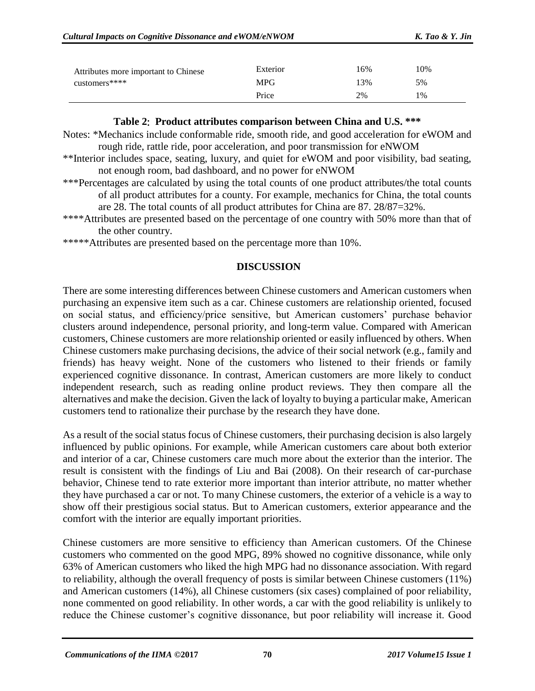| Attributes more important to Chinese | Exterior   | 16% | 10%   |
|--------------------------------------|------------|-----|-------|
| customers****                        | <b>MPG</b> | 13% | 5%    |
|                                      | Price      | 2%  | $1\%$ |

#### **Table 2**: **Product attributes comparison between China and U.S. \*\*\***

- Notes: \*Mechanics include conformable ride, smooth ride, and good acceleration for eWOM and rough ride, rattle ride, poor acceleration, and poor transmission for eNWOM
- \*\*Interior includes space, seating, luxury, and quiet for eWOM and poor visibility, bad seating, not enough room, bad dashboard, and no power for eNWOM
- \*\*\*Percentages are calculated by using the total counts of one product attributes/the total counts of all product attributes for a county. For example, mechanics for China, the total counts are 28. The total counts of all product attributes for China are 87. 28/87=32%.
- \*\*\*\*Attributes are presented based on the percentage of one country with 50% more than that of the other country.

\*\*\*\*\*Attributes are presented based on the percentage more than 10%.

#### **DISCUSSION**

There are some interesting differences between Chinese customers and American customers when purchasing an expensive item such as a car. Chinese customers are relationship oriented, focused on social status, and efficiency/price sensitive, but American customers' purchase behavior clusters around independence, personal priority, and long-term value. Compared with American customers, Chinese customers are more relationship oriented or easily influenced by others. When Chinese customers make purchasing decisions, the advice of their social network (e.g., family and friends) has heavy weight. None of the customers who listened to their friends or family experienced cognitive dissonance. In contrast, American customers are more likely to conduct independent research, such as reading online product reviews. They then compare all the alternatives and make the decision. Given the lack of loyalty to buying a particular make, American customers tend to rationalize their purchase by the research they have done.

As a result of the social status focus of Chinese customers, their purchasing decision is also largely influenced by public opinions. For example, while American customers care about both exterior and interior of a car, Chinese customers care much more about the exterior than the interior. The result is consistent with the findings of Liu and Bai (2008). On their research of car-purchase behavior, Chinese tend to rate exterior more important than interior attribute, no matter whether they have purchased a car or not. To many Chinese customers, the exterior of a vehicle is a way to show off their prestigious social status. But to American customers, exterior appearance and the comfort with the interior are equally important priorities.

Chinese customers are more sensitive to efficiency than American customers. Of the Chinese customers who commented on the good MPG, 89% showed no cognitive dissonance, while only 63% of American customers who liked the high MPG had no dissonance association. With regard to reliability, although the overall frequency of posts is similar between Chinese customers (11%) and American customers (14%), all Chinese customers (six cases) complained of poor reliability, none commented on good reliability. In other words, a car with the good reliability is unlikely to reduce the Chinese customer's cognitive dissonance, but poor reliability will increase it. Good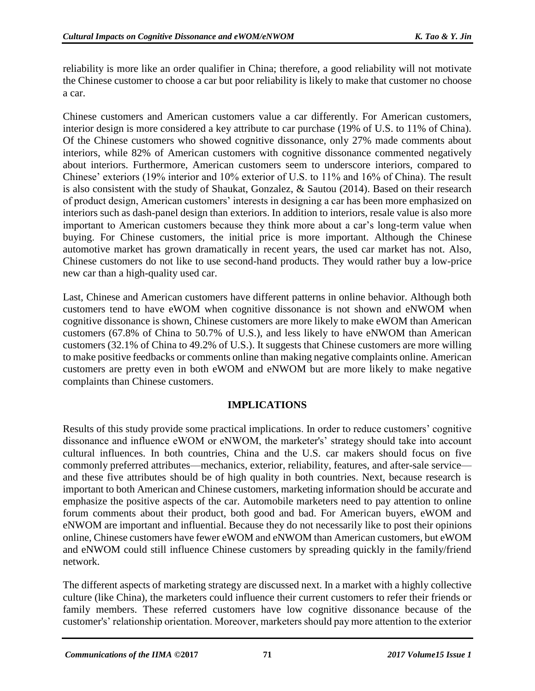reliability is more like an order qualifier in China; therefore, a good reliability will not motivate the Chinese customer to choose a car but poor reliability is likely to make that customer no choose a car.

Chinese customers and American customers value a car differently. For American customers, interior design is more considered a key attribute to car purchase (19% of U.S. to 11% of China). Of the Chinese customers who showed cognitive dissonance, only 27% made comments about interiors, while 82% of American customers with cognitive dissonance commented negatively about interiors. Furthermore, American customers seem to underscore interiors, compared to Chinese' exteriors (19% interior and 10% exterior of U.S. to 11% and 16% of China). The result is also consistent with the study of Shaukat, Gonzalez, & Sautou (2014). Based on their research of product design, American customers' interests in designing a car has been more emphasized on interiors such as dash-panel design than exteriors. In addition to interiors, resale value is also more important to American customers because they think more about a car's long-term value when buying. For Chinese customers, the initial price is more important. Although the Chinese automotive market has grown dramatically in recent years, the used car market has not. Also, Chinese customers do not like to use second-hand products. They would rather buy a low-price new car than a high-quality used car.

Last, Chinese and American customers have different patterns in online behavior. Although both customers tend to have eWOM when cognitive dissonance is not shown and eNWOM when cognitive dissonance is shown, Chinese customers are more likely to make eWOM than American customers (67.8% of China to 50.7% of U.S.), and less likely to have eNWOM than American customers (32.1% of China to 49.2% of U.S.). It suggests that Chinese customers are more willing to make positive feedbacks or comments online than making negative complaints online. American customers are pretty even in both eWOM and eNWOM but are more likely to make negative complaints than Chinese customers.

## **IMPLICATIONS**

Results of this study provide some practical implications. In order to reduce customers' cognitive dissonance and influence eWOM or eNWOM, the marketer's' strategy should take into account cultural influences. In both countries, China and the U.S. car makers should focus on five commonly preferred attributes—mechanics, exterior, reliability, features, and after-sale service and these five attributes should be of high quality in both countries. Next, because research is important to both American and Chinese customers, marketing information should be accurate and emphasize the positive aspects of the car. Automobile marketers need to pay attention to online forum comments about their product, both good and bad. For American buyers, eWOM and eNWOM are important and influential. Because they do not necessarily like to post their opinions online, Chinese customers have fewer eWOM and eNWOM than American customers, but eWOM and eNWOM could still influence Chinese customers by spreading quickly in the family/friend network.

The different aspects of marketing strategy are discussed next. In a market with a highly collective culture (like China), the marketers could influence their current customers to refer their friends or family members. These referred customers have low cognitive dissonance because of the customer's' relationship orientation. Moreover, marketers should pay more attention to the exterior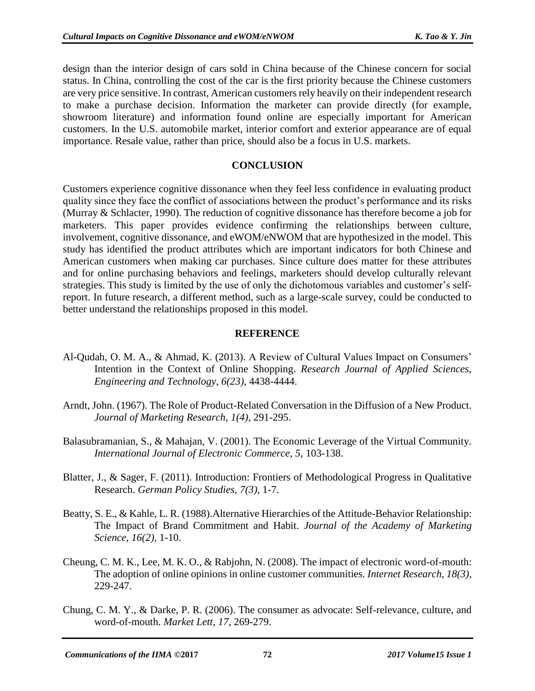design than the interior design of cars sold in China because of the Chinese concern for social status. In China, controlling the cost of the car is the first priority because the Chinese customers are very price sensitive. In contrast, American customers rely heavily on their independent research to make a purchase decision. Information the marketer can provide directly (for example, showroom literature) and information found online are especially important for American customers. In the U.S. automobile market, interior comfort and exterior appearance are of equal importance. Resale value, rather than price, should also be a focus in U.S. markets.

#### **CONCLUSION**

Customers experience cognitive dissonance when they feel less confidence in evaluating product quality since they face the conflict of associations between the product's performance and its risks (Murray & Schlacter, 1990). The reduction of cognitive dissonance has therefore become a job for marketers. This paper provides evidence confirming the relationships between culture, involvement, cognitive dissonance, and eWOM/eNWOM that are hypothesized in the model. This study has identified the product attributes which are important indicators for both Chinese and American customers when making car purchases. Since culture does matter for these attributes and for online purchasing behaviors and feelings, marketers should develop culturally relevant strategies. This study is limited by the use of only the dichotomous variables and customer's selfreport. In future research, a different method, such as a large-scale survey, could be conducted to better understand the relationships proposed in this model.

#### **REFERENCE**

- Al-Qudah, O. M. A., & Ahmad, K. (2013). A Review of Cultural Values Impact on Consumers' Intention in the Context of Online Shopping. *Research Journal of Applied Sciences, Engineering and Technology*, *6(23)*, 4438-4444.
- Arndt, John. (1967). The Role of Product-Related Conversation in the Diffusion of a New Product. *Journal of Marketing Research*, *1(4)*, 291-295.
- Balasubramanian, S., & Mahajan, V. (2001). The Economic Leverage of the Virtual Community. *International Journal of Electronic Commerce*, *5*, 103-138.
- Blatter, J., & Sager, F. (2011). Introduction: Frontiers of Methodological Progress in Qualitative Research. *German Policy Studies*, *7(3)*, 1-7.
- Beatty, S. E., & Kahle, L. R. (1988).Alternative Hierarchies of the Attitude-Behavior Relationship: The Impact of Brand Commitment and Habit. *Journal of the Academy of Marketing Science*, *16(2),* 1-10.
- Cheung, C. M. K., Lee, M. K. O., & Rabjohn, N. (2008). The impact of electronic word-of-mouth: The adoption of online opinions in online customer communities. *Internet Research*, *18(3),* 229-247.
- Chung, C. M. Y., & Darke, P. R. (2006). The consumer as advocate: Self-relevance, culture, and word-of-mouth. *Market Lett*, *17*, 269-279.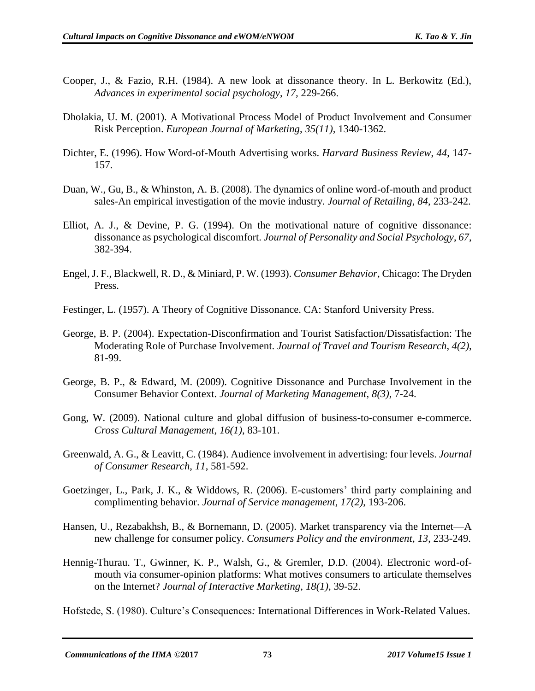- Cooper, J., & Fazio, R.H. (1984). A new look at dissonance theory. In L. Berkowitz (Ed.), *Advances in experimental social psychology*, *17,* 229-266.
- Dholakia, U. M. (2001). A Motivational Process Model of Product Involvement and Consumer Risk Perception. *European Journal of Marketing*, *35(11),* 1340-1362.
- Dichter, E. (1996). How Word-of-Mouth Advertising works. *Harvard Business Review*, *44*, 147- 157.
- Duan, W., Gu, B., & Whinston, A. B. (2008). The dynamics of online word-of-mouth and product sales-An empirical investigation of the movie industry. *Journal of Retailing*, *84*, 233-242.
- Elliot, A. J., & Devine, P. G. (1994). On the motivational nature of cognitive dissonance: dissonance as psychological discomfort. *Journal of Personality and Social Psychology*, *67*, 382-394.
- Engel, J. F., Blackwell, R. D., & Miniard, P. W. (1993). *Consumer Behavior*, Chicago: The Dryden Press.
- Festinger, L. (1957). A Theory of Cognitive Dissonance. CA: Stanford University Press.
- George, B. P. (2004). Expectation-Disconfirmation and Tourist Satisfaction/Dissatisfaction: The Moderating Role of Purchase Involvement. *Journal of Travel and Tourism Research*, *4(2)*, 81-99.
- George, B. P., & Edward, M. (2009). Cognitive Dissonance and Purchase Involvement in the Consumer Behavior Context. *Journal of Marketing Management*, *8(3)*, 7-24.
- Gong, W. (2009). National culture and global diffusion of business-to-consumer e-commerce. *Cross Cultural Management*, *16(1)*, 83-101.
- Greenwald, A. G., & Leavitt, C. (1984). Audience involvement in advertising: four levels. *Journal of Consumer Research*, *11*, 581-592.
- Goetzinger, L., Park, J. K., & Widdows, R. (2006). E-customers' third party complaining and complimenting behavior. *Journal of Service management*, *17(2)*, 193-206.
- Hansen, U., Rezabakhsh, B., & Bornemann, D. (2005). Market transparency via the Internet—A new challenge for consumer policy. *Consumers Policy and the environment*, *13*, 233-249.
- Hennig-Thurau. T., Gwinner, K. P., Walsh, G., & Gremler, D.D. (2004). Electronic word-ofmouth via consumer-opinion platforms: What motives consumers to articulate themselves on the Internet? *Journal of Interactive Marketing*, *18(1)*, 39-52.

Hofstede, S. (1980). Culture's Consequences*:* International Differences in Work-Related Values.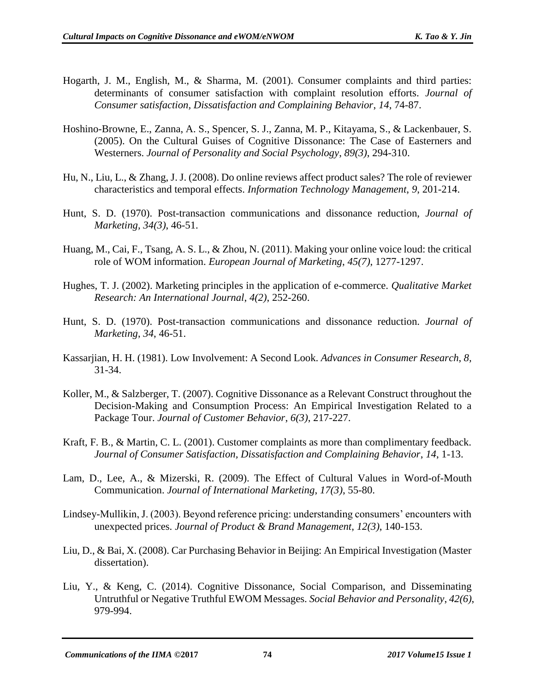- Hogarth, J. M., English, M., & Sharma, M. (2001). Consumer complaints and third parties: determinants of consumer satisfaction with complaint resolution efforts. *Journal of Consumer satisfaction, Dissatisfaction and Complaining Behavior*, *14*, 74-87.
- Hoshino-Browne, E., Zanna, A. S., Spencer, S. J., Zanna, M. P., Kitayama, S., & Lackenbauer, S. (2005). On the Cultural Guises of Cognitive Dissonance: The Case of Easterners and Westerners. *Journal of Personality and Social Psychology*, *89(3)*, 294-310.
- Hu, N., Liu, L., & Zhang, J. J. (2008). Do online reviews affect product sales? The role of reviewer characteristics and temporal effects. *Information Technology Management*, *9*, 201-214.
- Hunt, S. D. (1970). Post-transaction communications and dissonance reduction, *Journal of Marketing, 34(3)*, 46-51.
- Huang, M., Cai, F., Tsang, A. S. L., & Zhou, N. (2011). Making your online voice loud: the critical role of WOM information. *European Journal of Marketing*, *45(7)*, 1277-1297.
- Hughes, T. J. (2002). Marketing principles in the application of e-commerce. *Qualitative Market Research: An International Journal*, *4(2)*, 252-260.
- Hunt, S. D. (1970). Post-transaction communications and dissonance reduction. *Journal of Marketing*, *34*, 46-51.
- Kassarjian, H. H. (1981). Low Involvement: A Second Look. *Advances in Consumer Research*, *8,* 31-34.
- Koller, M., & Salzberger, T. (2007). Cognitive Dissonance as a Relevant Construct throughout the Decision-Making and Consumption Process: An Empirical Investigation Related to a Package Tour. *Journal of Customer Behavior*, *6(3)*, 217-227.
- Kraft, F. B., & Martin, C. L. (2001). Customer complaints as more than complimentary feedback. *Journal of Consumer Satisfaction, Dissatisfaction and Complaining Behavior*, *14*, 1-13.
- Lam, D., Lee, A., & Mizerski, R. (2009). The Effect of Cultural Values in Word-of-Mouth Communication. *Journal of International Marketing*, *17(3)*, 55-80.
- Lindsey-Mullikin, J. (2003). Beyond reference pricing: understanding consumers' encounters with unexpected prices. *Journal of Product & Brand Management*, *12(3)*, 140-153.
- Liu, D., & Bai, X. (2008). Car Purchasing Behavior in Beijing: An Empirical Investigation (Master dissertation).
- Liu, Y., & Keng, C. (2014). Cognitive Dissonance, Social Comparison, and Disseminating Untruthful or Negative Truthful EWOM Messages. *Social Behavior and Personality*, *42(6)*, 979-994.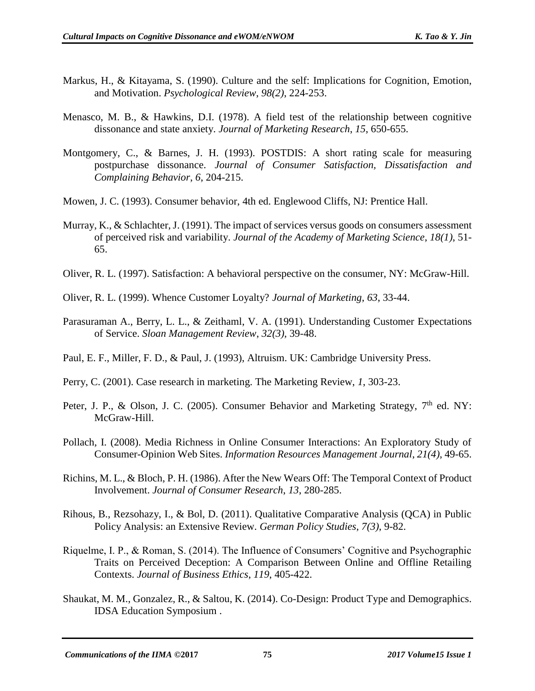- Markus, H., & Kitayama, S. (1990). Culture and the self: Implications for Cognition, Emotion, and Motivation. *Psychological Review*, *98(2)*, 224-253.
- Menasco, M. B., & Hawkins, D.I. (1978). A field test of the relationship between cognitive dissonance and state anxiety. *Journal of Marketing Research*, *15*, 650-655.
- Montgomery, C., & Barnes, J. H. (1993). POSTDIS: A short rating scale for measuring postpurchase dissonance. *Journal of Consumer Satisfaction, Dissatisfaction and Complaining Behavior*, *6*, 204-215.
- Mowen, J. C. (1993). Consumer behavior, 4th ed. Englewood Cliffs, NJ: Prentice Hall.
- Murray, K., & Schlachter, J. (1991). The impact of services versus goods on consumers assessment of perceived risk and variability. *Journal of the Academy of Marketing Science*, *18(1)*, 51- 65.
- Oliver, R. L. (1997). Satisfaction: A behavioral perspective on the consumer, NY: McGraw-Hill.
- Oliver, R. L. (1999). Whence Customer Loyalty? *Journal of Marketing*, *63*, 33-44.
- Parasuraman A., Berry, L. L., & Zeithaml, V. A. (1991). Understanding Customer Expectations of Service. *Sloan Management Review*, *32(3)*, 39-48.
- Paul, E. F., Miller, F. D., & Paul, J. (1993), Altruism. UK: Cambridge University Press.
- Perry, C. (2001). Case research in marketing. The Marketing Review, *1*, 303-23.
- Peter, J. P., & Olson, J. C. (2005). Consumer Behavior and Marketing Strategy, 7<sup>th</sup> ed. NY: McGraw-Hill.
- Pollach, I. (2008). Media Richness in Online Consumer Interactions: An Exploratory Study of Consumer-Opinion Web Sites. *Information Resources Management Journal*, *21(4)*, 49-65.
- Richins, M. L., & Bloch, P. H. (1986). After the New Wears Off: The Temporal Context of Product Involvement. *Journal of Consumer Research*, *13*, 280-285.
- Rihous, B., Rezsohazy, I., & Bol, D. (2011). Qualitative Comparative Analysis (QCA) in Public Policy Analysis: an Extensive Review. *German Policy Studies*, *7(3)*, 9-82.
- Riquelme, I. P., & Roman, S. (2014). The Influence of Consumers' Cognitive and Psychographic Traits on Perceived Deception: A Comparison Between Online and Offline Retailing Contexts. *Journal of Business Ethics*, *119*, 405-422.
- Shaukat, M. M., Gonzalez, R., & Saltou, K. (2014). Co-Design: Product Type and Demographics. IDSA Education Symposium .